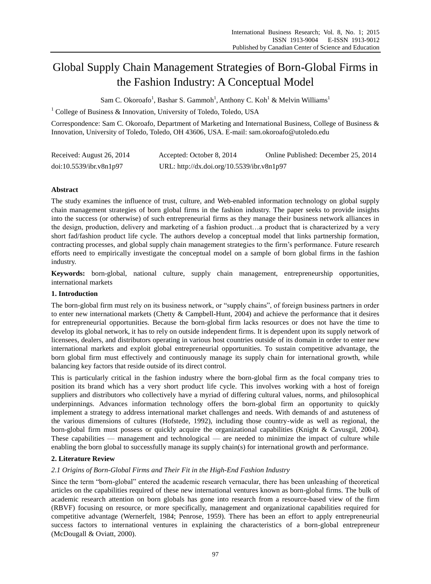# Global Supply Chain Management Strategies of Born-Global Firms in the Fashion Industry: A Conceptual Model

Sam C. Okoroafo<sup>1</sup>, Bashar S. Gammoh<sup>1</sup>, Anthony C. Koh<sup>1</sup> & Melvin Williams<sup>1</sup>

<sup>1</sup> College of Business & Innovation, University of Toledo, Toledo, USA

Correspondence: Sam C. Okoroafo, Department of Marketing and International Business, College of Business & Innovation, University of Toledo, Toledo, OH 43606, USA. E-mail: sam.okoroafo@utoledo.edu

| Received: August 26, 2014 | Accepted: October 8, 2014                  | Online Published: December 25, 2014 |
|---------------------------|--------------------------------------------|-------------------------------------|
| doi:10.5539/ibr.v8n1p97   | URL: http://dx.doi.org/10.5539/ibr.v8n1p97 |                                     |

## **Abstract**

The study examines the influence of trust, culture, and Web-enabled information technology on global supply chain management strategies of born global firms in the fashion industry. The paper seeks to provide insights into the success (or otherwise) of such entrepreneurial firms as they manage their business network alliances in the design, production, delivery and marketing of a fashion product…a product that is characterized by a very short fad/fashion product life cycle. The authors develop a conceptual model that links partnership formation, contracting processes, and global supply chain management strategies to the firm's performance. Future research efforts need to empirically investigate the conceptual model on a sample of born global firms in the fashion industry.

**Keywords:** born-global, national culture, supply chain management, entrepreneurship opportunities, international markets

## **1. Introduction**

The born-global firm must rely on its business network, or "supply chains", of foreign business partners in order to enter new international markets (Chetty & Campbell-Hunt, 2004) and achieve the performance that it desires for entrepreneurial opportunities. Because the born-global firm lacks resources or does not have the time to develop its global network, it has to rely on outside independent firms. It is dependent upon its supply network of licensees, dealers, and distributors operating in various host countries outside of its domain in order to enter new international markets and exploit global entrepreneurial opportunities. To sustain competitive advantage, the born global firm must effectively and continuously manage its supply chain for international growth, while balancing key factors that reside outside of its direct control.

This is particularly critical in the fashion industry where the born-global firm as the focal company tries to position its brand which has a very short product life cycle. This involves working with a host of foreign suppliers and distributors who collectively have a myriad of differing cultural values, norms, and philosophical underpinnings. Advances information technology offers the born-global firm an opportunity to quickly implement a strategy to address international market challenges and needs. With demands of and astuteness of the various dimensions of cultures (Hofstede, 1992), including those country-wide as well as regional, the born-global firm must possess or quickly acquire the organizational capabilities (Knight & Cavusgil, 2004). These capabilities — management and technological — are needed to minimize the impact of culture while enabling the born global to successfully manage its supply chain(s) for international growth and performance.

## **2. Literature Review**

## *2.1 Origins of Born-Global Firms and Their Fit in the High-End Fashion Industry*

Since the term "born-global" entered the academic research vernacular, there has been unleashing of theoretical articles on the capabilities required of these new international ventures known as born-global firms. The bulk of academic research attention on born globals has gone into research from a resource-based view of the firm (RBVF) focusing on resource, or more specifically, management and organizational capabilities required for competitive advantage (Wernerfelt, 1984; Penrose, 1959). There has been an effort to apply entrepreneurial success factors to international ventures in explaining the characteristics of a born-global entrepreneur (McDougall & Oviatt, 2000).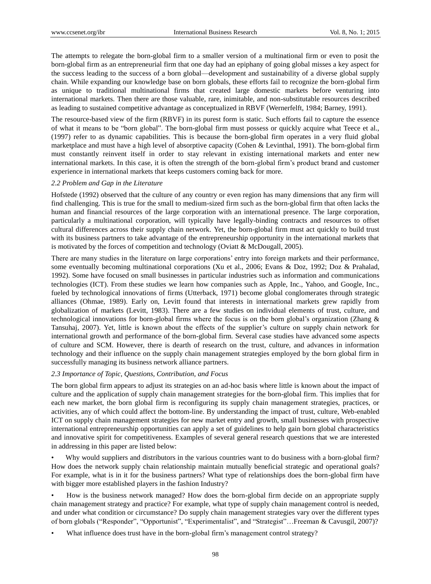The attempts to relegate the born-global firm to a smaller version of a multinational firm or even to posit the born-global firm as an entrepreneurial firm that one day had an epiphany of going global misses a key aspect for the success leading to the success of a born global—development and sustainability of a diverse global supply chain. While expanding our knowledge base on born globals, these efforts fail to recognize the born-global firm as unique to traditional multinational firms that created large domestic markets before venturing into international markets. Then there are those valuable, rare, inimitable, and non-substitutable resources described as leading to sustained competitive advantage as conceptualized in RBVF (Wernerfelft, 1984; Barney, 1991).

The resource-based view of the firm (RBVF) in its purest form is static. Such efforts fail to capture the essence of what it means to be "born global". The born-global firm must possess or quickly acquire what Teece et al., (1997) refer to as dynamic capabilities. This is because the born-global firm operates in a very fluid global marketplace and must have a high level of absorptive capacity (Cohen & Levinthal, 1991). The born-global firm must constantly reinvent itself in order to stay relevant in existing international markets and enter new international markets. In this case, it is often the strength of the born-global firm's product brand and customer experience in international markets that keeps customers coming back for more.

#### *2.2 Problem and Gap in the Literature*

Hofstede (1992) observed that the culture of any country or even region has many dimensions that any firm will find challenging. This is true for the small to medium-sized firm such as the born-global firm that often lacks the human and financial resources of the large corporation with an international presence. The large corporation, particularly a multinational corporation, will typically have legally-binding contracts and resources to offset cultural differences across their supply chain network. Yet, the born-global firm must act quickly to build trust with its business partners to take advantage of the entrepreneurship opportunity in the international markets that is motivated by the forces of competition and technology (Oviatt & McDougall, 2005).

There are many studies in the literature on large corporations' entry into foreign markets and their performance, some eventually becoming multinational corporations (Xu et al., 2006; Evans & Doz, 1992; Doz & Prahalad, 1992). Some have focused on small businesses in particular industries such as information and communications technologies (ICT). From these studies we learn how companies such as Apple, Inc., Yahoo, and Google, Inc., fueled by technological innovations of firms (Utterback, 1971) become global conglomerates through strategic alliances (Ohmae, 1989). Early on, Levitt found that interests in international markets grew rapidly from globalization of markets (Levitt, 1983). There are a few studies on individual elements of trust, culture, and technological innovations for born-global firms where the focus is on the born global's organization (Zhang & Tansuhaj, 2007). Yet, little is known about the effects of the supplier's culture on supply chain network for international growth and performance of the born-global firm. Several case studies have advanced some aspects of culture and SCM. However, there is dearth of research on the trust, culture, and advances in information technology and their influence on the supply chain management strategies employed by the born global firm in successfully managing its business network alliance partners.

#### *2.3 Importance of Topic, Questions, Contribution, and Focus*

The born global firm appears to adjust its strategies on an ad-hoc basis where little is known about the impact of culture and the application of supply chain management strategies for the born-global firm. This implies that for each new market, the born global firm is reconfiguring its supply chain management strategies, practices, or activities, any of which could affect the bottom-line. By understanding the impact of trust, culture, Web-enabled ICT on supply chain management strategies for new market entry and growth, small businesses with prospective international entrepreneurship opportunities can apply a set of guidelines to help gain born global characteristics and innovative spirit for competitiveness. Examples of several general research questions that we are interested in addressing in this paper are listed below:

• Why would suppliers and distributors in the various countries want to do business with a born-global firm? How does the network supply chain relationship maintain mutually beneficial strategic and operational goals? For example, what is in it for the business partners? What type of relationships does the born-global firm have with bigger more established players in the fashion Industry?

• How is the business network managed? How does the born-global firm decide on an appropriate supply chain management strategy and practice? For example, what type of supply chain management control is needed, and under what condition or circumstance? Do supply chain management strategies vary over the different types of born globals ("Responder", "Opportunist", "Experimentalist", and "Strategist"...Freeman & Cavusgil, 2007)?

What influence does trust have in the born-global firm's management control strategy?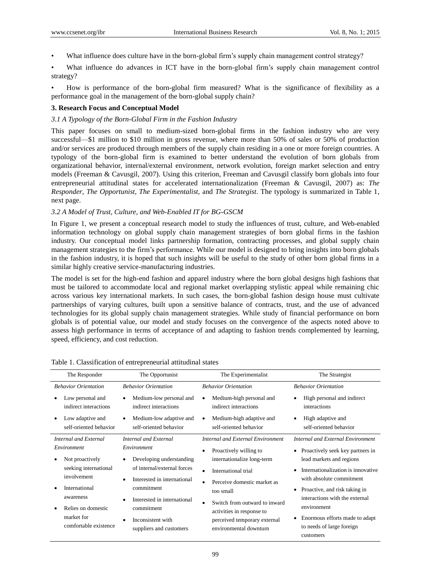- What influence does culture have in the born-global firm's supply chain management control strategy?
- What influence do advances in ICT have in the born-global firm's supply chain management control strategy?
- How is performance of the born-global firm measured? What is the significance of flexibility as a performance goal in the management of the born-global supply chain?

## **3. Research Focus and Conceptual Model**

## *3.1 A Typology of the Born-Global Firm in the Fashion Industry*

This paper focuses on small to medium-sized born-global firms in the fashion industry who are very successful—\$1 million to \$10 million in gross revenue, where more than 50% of sales or 50% of production and/or services are produced through members of the supply chain residing in a one or more foreign countries. A typology of the born-global firm is examined to better understand the evolution of born globals from organizational behavior, internal/external environment, network evolution, foreign market selection and entry models (Freeman & Cavusgil, 2007). Using this criterion, Freeman and Cavusgil classify born globals into four entrepreneurial attitudinal states for accelerated internationalization (Freeman & Cavusgil, 2007) as: *The Responder*, *The Opportunist*, *The Experimentalist*, and *The Strategist*. The typology is summarized in Table 1, next page.

## *3.2 A Model of Trust, Culture, and Web-Enabled IT for BG-GSCM*

In Figure 1, we present a conceptual research model to study the influences of trust, culture, and Web-enabled information technology on global supply chain management strategies of born global firms in the fashion industry. Our conceptual model links partnership formation, contracting processes, and global supply chain management strategies to the firm's performance. While our model is designed to bring insights into born globals in the fashion industry, it is hoped that such insights will be useful to the study of other born global firms in a similar highly creative service-manufacturing industries.

The model is set for the high-end fashion and apparel industry where the born global designs high fashions that must be tailored to accommodate local and regional market overlapping stylistic appeal while remaining chic across various key international markets. In such cases, the born-global fashion design house must cultivate partnerships of varying cultures, built upon a sensitive balance of contracts, trust, and the use of advanced technologies for its global supply chain management strategies. While study of financial performance on born globals is of potential value, our model and study focuses on the convergence of the aspects noted above to assess high performance in terms of acceptance of and adapting to fashion trends complemented by learning, speed, efficiency, and cost reduction.

| The Responder                                                                                                                                      | The Opportunist                                                                                                                                                                                                                               | The Experimentalist                                                                                                                                                                                                                                          | The Strategist                                                                                                                                                                                                                                                                   |
|----------------------------------------------------------------------------------------------------------------------------------------------------|-----------------------------------------------------------------------------------------------------------------------------------------------------------------------------------------------------------------------------------------------|--------------------------------------------------------------------------------------------------------------------------------------------------------------------------------------------------------------------------------------------------------------|----------------------------------------------------------------------------------------------------------------------------------------------------------------------------------------------------------------------------------------------------------------------------------|
| <b>Behavior Orientation</b>                                                                                                                        | <b>Behavior Orientation</b>                                                                                                                                                                                                                   | <b>Behavior Orientation</b>                                                                                                                                                                                                                                  | <b>Behavior Orientation</b>                                                                                                                                                                                                                                                      |
| Low personal and<br>indirect interactions                                                                                                          | Medium-low personal and<br>$\bullet$<br>indirect interactions                                                                                                                                                                                 | Medium-high personal and<br>$\bullet$<br>indirect interactions                                                                                                                                                                                               | High personal and indirect<br>٠<br>interactions                                                                                                                                                                                                                                  |
| Low adaptive and<br>self-oriented behavior                                                                                                         | Medium-low adaptive and<br>$\bullet$<br>self-oriented behavior                                                                                                                                                                                | Medium-high adaptive and<br>$\bullet$<br>self-oriented behavior                                                                                                                                                                                              | High adaptive and<br>٠<br>self-oriented behavior                                                                                                                                                                                                                                 |
| Internal and External<br>Environment                                                                                                               | Internal and External<br>Environment                                                                                                                                                                                                          | Internal and External Environment<br>Proactively willing to<br>$\bullet$                                                                                                                                                                                     | Internal and External Environment<br>Proactively seek key partners in<br>٠                                                                                                                                                                                                       |
| Not proactively<br>seeking international<br>involvement<br>International<br>awareness<br>Relies on domestic<br>market for<br>comfortable existence | Developing understanding<br>$\bullet$<br>of internal/external forces<br>Interested in international<br>٠<br>commitment<br>Interested in international<br>$\bullet$<br>commitment<br>Inconsistent with<br>$\bullet$<br>suppliers and customers | internationalize long-term<br>International trial<br>$\bullet$<br>Perceive domestic market as<br>$\bullet$<br>too small<br>Switch from outward to inward<br>$\bullet$<br>activities in response to<br>perceived temporary external<br>environmental downturn | lead markets and regions<br>Internationalization is innovative.<br>$\bullet$<br>with absolute commitment<br>Proactive, and risk taking in<br>٠<br>interactions with the external<br>environment<br>Enormous efforts made to adapt<br>٠<br>to needs of large foreign<br>customers |

Table 1. Classification of entrepreneurial attitudinal states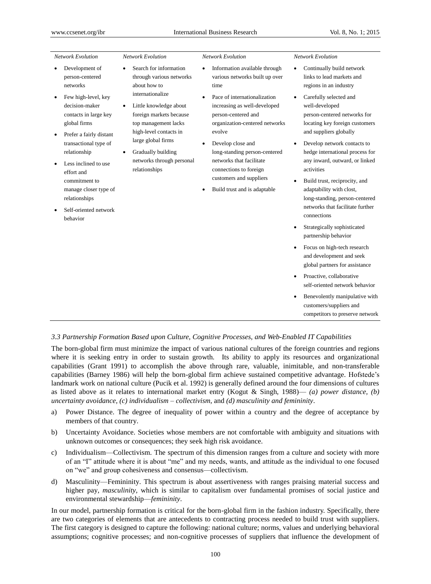| <b>Network Evolution</b>                                                                                                                                                                                                                                                            | <b>Network Evolution</b>                                                                                                                                                                                                                                                                                                       | <b>Network Evolution</b>                                                                                                                                                                                                                                                                                                                                                                                                      | <b>Network Evolution</b>                                                                                                                                                                                                                                                                                                                                                                                     |
|-------------------------------------------------------------------------------------------------------------------------------------------------------------------------------------------------------------------------------------------------------------------------------------|--------------------------------------------------------------------------------------------------------------------------------------------------------------------------------------------------------------------------------------------------------------------------------------------------------------------------------|-------------------------------------------------------------------------------------------------------------------------------------------------------------------------------------------------------------------------------------------------------------------------------------------------------------------------------------------------------------------------------------------------------------------------------|--------------------------------------------------------------------------------------------------------------------------------------------------------------------------------------------------------------------------------------------------------------------------------------------------------------------------------------------------------------------------------------------------------------|
| Development of<br>person-centered<br>networks<br>Few high-level, key<br>decision-maker<br>contacts in large key<br>global firms<br>Prefer a fairly distant<br>transactional type of<br>relationship<br>Less inclined to use<br>effort and<br>commitment to<br>manage closer type of | Search for information<br>$\bullet$<br>through various networks<br>about how to<br>internationalize<br>Little knowledge about<br>$\bullet$<br>foreign markets because<br>top management lacks<br>high-level contacts in<br>large global firms<br>Gradually building<br>$\bullet$<br>networks through personal<br>relationships | Information available through<br>$\bullet$<br>various networks built up over<br>time<br>Pace of internationalization<br>$\bullet$<br>increasing as well-developed<br>person-centered and<br>organization-centered networks<br>evolve<br>Develop close and<br>$\bullet$<br>long-standing person-centered<br>networks that facilitate<br>connections to foreign<br>customers and suppliers<br>Build trust and is adaptable<br>٠ | Continually build network<br>links to lead markets and<br>regions in an industry<br>Carefully selected and<br>well-developed<br>person-centered networks for<br>locating key foreign customers<br>and suppliers globally<br>Develop network contacts to<br>hedge international process for<br>any inward, outward, or linked<br>activities<br>Build trust, reciprocity, and<br>٠<br>adaptability with clost, |
| relationships<br>Self-oriented network<br>behavior                                                                                                                                                                                                                                  |                                                                                                                                                                                                                                                                                                                                |                                                                                                                                                                                                                                                                                                                                                                                                                               | long-standing, person-centered<br>networks that facilitate further<br>connections<br>Strategically sophisticated<br>partnership behavior<br>Focus on high-tech research<br>and development and seek<br>global partners for assistance<br>Proactive, collaborative<br>self-oriented network behavior<br>Benevolently manipulative with<br>٠<br>customers/suppliers and<br>competitors to preserve network     |

#### *3.3 Partnership Formation Based upon Culture, Cognitive Processes, and Web-Enabled IT Capabilities*

The born-global firm must minimize the impact of various national cultures of the foreign countries and regions where it is seeking entry in order to sustain growth. Its ability to apply its resources and organizational capabilities (Grant 1991) to accomplish the above through rare, valuable, inimitable, and non-transferable capabilities (Barney 1986) will help the born-global firm achieve sustained competitive advantage. Hofstede's landmark work on national culture (Pucik et al. 1992) is generally defined around the four dimensions of cultures as listed above as it relates to international market entry (Kogut & Singh, 1988)— *(a) power distance, (b) uncertainty avoidance, (c) individualism – collectivism*, and *(d) masculinity and femininity*.

- a) Power Distance. The degree of inequality of power within a country and the degree of acceptance by members of that country.
- b) Uncertainty Avoidance. Societies whose members are not comfortable with ambiguity and situations with unknown outcomes or consequences; they seek high risk avoidance.
- c) Individualism—Collectivism. The spectrum of this dimension ranges from a culture and society with more of an "I" attitude where it is about "me" and my needs, wants, and attitude as the individual to one focused on "we" and group cohesiveness and consensus—collectivism.
- d) Masculinity—Femininity. This spectrum is about assertiveness with ranges praising material success and higher pay, *masculinity,* which is similar to capitalism over fundamental promises of social justice and environmental stewardship—*femininity*.

In our model, partnership formation is critical for the born-global firm in the fashion industry. Specifically, there are two categories of elements that are antecedents to contracting process needed to build trust with suppliers. The first category is designed to capture the following: national culture; norms, values and underlying behavioral assumptions; cognitive processes; and non-cognitive processes of suppliers that influence the development of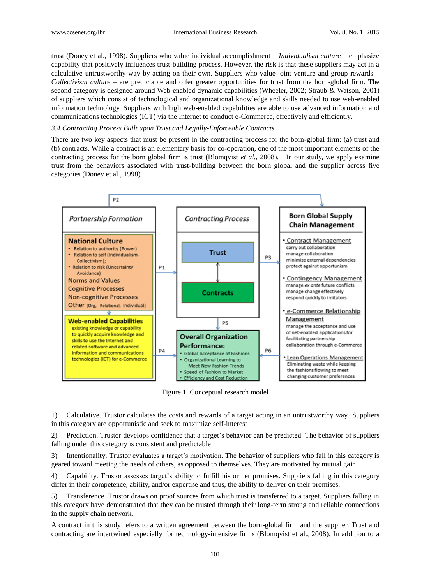trust (Doney et al., 1998). Suppliers who value individual accomplishment – *Individualism culture* – emphasize capability that positively influences trust-building process. However, the risk is that these suppliers may act in a calculative untrustworthy way by acting on their own. Suppliers who value joint venture and group rewards – *Collectivism culture* – are predictable and offer greater opportunities for trust from the born-global firm. The second category is designed around Web-enabled dynamic capabilities (Wheeler, 2002; Straub & Watson, 2001) of suppliers which consist of technological and organizational knowledge and skills needed to use web-enabled information technology. Suppliers with high web-enabled capabilities are able to use advanced information and communications technologies (ICT) via the Internet to conduct e-Commerce, effectively and efficiently.

#### *3.4 Contracting Process Built upon Trust and Legally-Enforceable Contracts*

There are two key aspects that must be present in the contracting process for the born-global firm: (a) trust and (b) contracts. While a contract is an elementary basis for co-operation, one of the most important elements of the contracting process for the born global firm is trust (Blomqvist *et al.,* 2008). In our study, we apply examine trust from the behaviors associated with trust-building between the born global and the supplier across five categories (Doney et al., 1998).



Figure 1. Conceptual research model

1) Calculative. Trustor calculates the costs and rewards of a target acting in an untrustworthy way. Suppliers in this category are opportunistic and seek to maximize self-interest

2) Prediction. Trustor develops confidence that a target's behavior can be predicted. The behavior of suppliers falling under this category is consistent and predictable

3) Intentionality. Trustor evaluates a target's motivation. The behavior of suppliers who fall in this category is geared toward meeting the needs of others, as opposed to themselves. They are motivated by mutual gain.

4) Capability. Trustor assesses target's ability to fulfill his or her promises. Suppliers falling in this category differ in their competence, ability, and/or expertise and thus, the ability to deliver on their promises.

5) Transference. Trustor draws on proof sources from which trust is transferred to a target. Suppliers falling in this category have demonstrated that they can be trusted through their long-term strong and reliable connections in the supply chain network.

A contract in this study refers to a written agreement between the born-global firm and the supplier. Trust and contracting are intertwined especially for technology-intensive firms (Blomqvist et al., 2008). In addition to a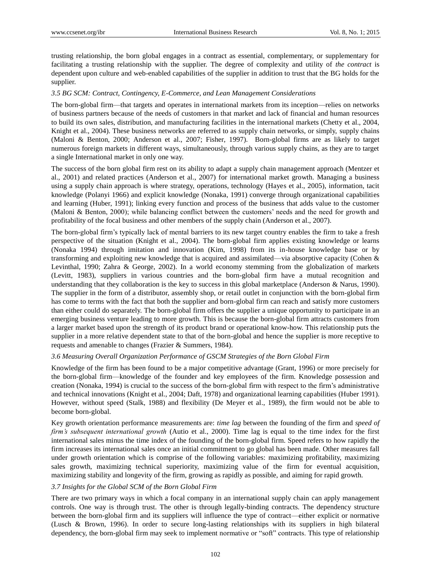trusting relationship, the born global engages in a contract as essential, complementary, or supplementary for facilitating a trusting relationship with the supplier. The degree of complexity and utility of *the contract* is dependent upon culture and web-enabled capabilities of the supplier in addition to trust that the BG holds for the supplier.

#### *3.5 BG SCM: Contract, Contingency, E-Commerce, and Lean Management Considerations*

The born-global firm—that targets and operates in international markets from its inception—relies on networks of business partners because of the needs of customers in that market and lack of financial and human resources to build its own sales, distribution, and manufacturing facilities in the international markets (Chetty et al., 2004, Knight et al., 2004). These business networks are referred to as supply chain networks, or simply, supply chains (Maloni & Benton, 2000; Anderson et al., 2007; Fisher, 1997). Born-global firms are as likely to target numerous foreign markets in different ways, simultaneously, through various supply chains, as they are to target a single International market in only one way.

The success of the born global firm rest on its ability to adapt a supply chain management approach (Mentzer et al., 2001) and related practices (Anderson et al., 2007) for international market growth. Managing a business using a supply chain approach is where strategy, operations, technology (Hayes et al., 2005), information, tacit knowledge (Polanyi 1966) and explicit knowledge (Nonaka, 1991) converge through organizational capabilities and learning (Huber, 1991); linking every function and process of the business that adds value to the customer (Maloni & Benton, 2000); while balancing conflict between the customers' needs and the need for growth and profitability of the focal business and other members of the supply chain (Anderson et al., 2007).

The born-global firm's typically lack of mental barriers to its new target country enables the firm to take a fresh perspective of the situation (Knight et al., 2004). The born-global firm applies existing knowledge or learns (Nonaka 1994) through imitation and innovation (Kim, 1998) from its in-house knowledge base or by transforming and exploiting new knowledge that is acquired and assimilated—via absorptive capacity (Cohen & Levinthal, 1990; Zahra & George, 2002). In a world economy stemming from the globalization of markets (Levitt, 1983), suppliers in various countries and the born-global firm have a mutual recognition and understanding that they collaboration is the key to success in this global marketplace (Anderson & Narus, 1990). The supplier in the form of a distributor, assembly shop, or retail outlet in conjunction with the born-global firm has come to terms with the fact that both the supplier and born-global firm can reach and satisfy more customers than either could do separately. The born-global firm offers the supplier a unique opportunity to participate in an emerging business venture leading to more growth. This is because the born-global firm attracts customers from a larger market based upon the strength of its product brand or operational know-how. This relationship puts the supplier in a more relative dependent state to that of the born-global and hence the supplier is more receptive to requests and amenable to changes (Frazier & Summers, 1984).

## *3.6 Measuring Overall Organization Performance of GSCM Strategies of the Born Global Firm*

Knowledge of the firm has been found to be a major competitive advantage (Grant, 1996) or more precisely for the born-global firm—knowledge of the founder and key employees of the firm. Knowledge possession and creation (Nonaka, 1994) is crucial to the success of the born-global firm with respect to the firm's administrative and technical innovations (Knight et al., 2004; Daft, 1978) and organizational learning capabilities (Huber 1991). However, without speed (Stalk, 1988) and flexibility (De Meyer et al., 1989), the firm would not be able to become born-global.

Key growth orientation performance measurements are: *time lag* between the founding of the firm and *speed of firm's subsequent international growth* (Autio et al., 2000). Time lag is equal to the time index for the first international sales minus the time index of the founding of the born-global firm. Speed refers to how rapidly the firm increases its international sales once an initial commitment to go global has been made. Other measures fall under growth orientation which is comprise of the following variables: maximizing profitability, maximizing sales growth, maximizing technical superiority, maximizing value of the firm for eventual acquisition, maximizing stability and longevity of the firm, growing as rapidly as possible, and aiming for rapid growth.

## *3.7 Insights for the Global SCM of the Born Global Firm*

There are two primary ways in which a focal company in an international supply chain can apply management controls. One way is through trust. The other is through legally-binding contracts. The dependency structure between the born-global firm and its suppliers will influence the type of contract—either explicit or normative (Lusch & Brown, 1996). In order to secure long-lasting relationships with its suppliers in high bilateral dependency, the born-global firm may seek to implement normative or "soft" contracts. This type of relationship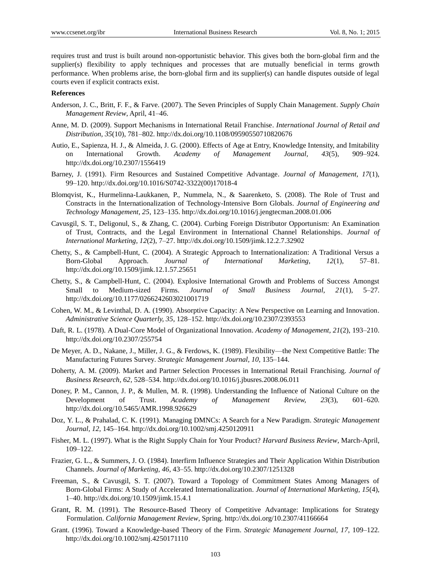requires trust and trust is built around non-opportunistic behavior. This gives both the born-global firm and the supplier(s) flexibility to apply techniques and processes that are mutually beneficial in terms growth performance. When problems arise, the born-global firm and its supplier(s) can handle disputes outside of legal courts even if explicit contracts exist.

#### **References**

- Anderson, J. C., Britt, F. F., & Farve. (2007). The Seven Principles of Supply Chain Management. *Supply Chain Management Review*, April, 41–46.
- Anne, M. D. (2009). Support Mechanisms in International Retail Franchise. *International Journal of Retail and Distribution, 35*(10), 781–802. http://dx.doi.org/10.1108/09590550710820676
- Autio, E., Sapienza, H. J., & Almeida, J. G. (2000). Effects of Age at Entry, Knowledge Intensity, and Imitability on International Growth. *Academy of Management Journal, 43*(5), 909–924. http://dx.doi.org/10.2307/1556419
- Barney, J. (1991). Firm Resources and Sustained Competitive Advantage. *Journal of Management, 17*(1), 99–120. http://dx.doi.org/10.1016/S0742-3322(00)17018-4
- Blomqvist, K., Hurmelinna-Laukkanen, P., Nummela, N., & Saarenketo, S. (2008). The Role of Trust and Constracts in the Internationalization of Technology-Intensive Born Globals. *Journal of Engineering and Technology Management, 25*, 123–135. http://dx.doi.org/10.1016/j.jengtecman.2008.01.006
- Cavusgil, S. T., Deligonul, S., & Zhang, C. (2004). Curbing Foreign Distributor Opportunism: An Examination of Trust, Contracts, and the Legal Environment in International Channel Relationships. *Journal of International Marketing, 12*(2), 7–27. http://dx.doi.org/10.1509/jimk.12.2.7.32902
- Chetty, S., & Campbell-Hunt, C. (2004). A Strategic Approach to Internationalization: A Traditional Versus a Born-Global Approach. *Journal of International Marketing, 12*(1), 57–81. http://dx.doi.org/10.1509/jimk.12.1.57.25651
- Chetty, S., & Campbell-Hunt, C. (2004). Explosive International Growth and Problems of Success Amongst Small to Medium-sized Firms. *Journal of Small Business Journal, 21*(1), 5–27. http://dx.doi.org/10.1177/0266242603021001719
- Cohen, W. M., & Levinthal, D. A. (1990). Absorptive Capacity: A New Perspective on Learning and Innovation. *Administrative Science Quarterly, 35*, 128–152. http://dx.doi.org/10.2307/2393553
- Daft, R. L. (1978). A Dual-Core Model of Organizational Innovation. *Academy of Management, 21*(2), 193–210. http://dx.doi.org/10.2307/255754
- De Meyer, A. D., Nakane, J., Miller, J. G., & Ferdows, K. (1989). Flexibility—the Next Competitive Battle: The Manufacturing Futures Survey. *Strategic Management Journal, 10*, 135–144.
- Doherty, A. M. (2009). Market and Partner Selection Processes in International Retail Franchising. *Journal of Business Research, 62*, 528–534. http://dx.doi.org/10.1016/j.jbusres.2008.06.011
- Doney, P. M., Cannon, J. P., & Mullen, M. R. (1998). Understanding the Influence of National Culture on the Development of Trust. *Academy of Management Review, 23*(3), 601–620. http://dx.doi.org/10.5465/AMR.1998.926629
- Doz, Y. L., & Prahalad, C. K. (1991). Managing DMNCs: A Search for a New Paradigm. *Strategic Management Journal, 12*, 145–164. http://dx.doi.org/10.1002/smj.4250120911
- Fisher, M. L. (1997). What is the Right Supply Chain for Your Product? *Harvard Business Review*, March-April, 109–122.
- Frazier, G. L., & Summers, J. O. (1984). Interfirm Influence Strategies and Their Application Within Distribution Channels. *Journal of Marketing, 46*, 43–55. http://dx.doi.org/10.2307/1251328
- Freeman, S., & Cavusgil, S. T. (2007). Toward a Topology of Commitment States Among Managers of Born-Global Firms: A Study of Accelerated Internationalization. *Journal of International Marketing, 15*(4), 1–40. http://dx.doi.org/10.1509/jimk.15.4.1
- Grant, R. M. (1991). The Resource-Based Theory of Competitive Advantage: Implications for Strategy Formulation. *California Management Review*, Spring. http://dx.doi.org/10.2307/41166664
- Grant. (1996). Toward a Knowledge-based Theory of the Firm. *Strategic Management Journal, 17*, 109–122. http://dx.doi.org/10.1002/smj.4250171110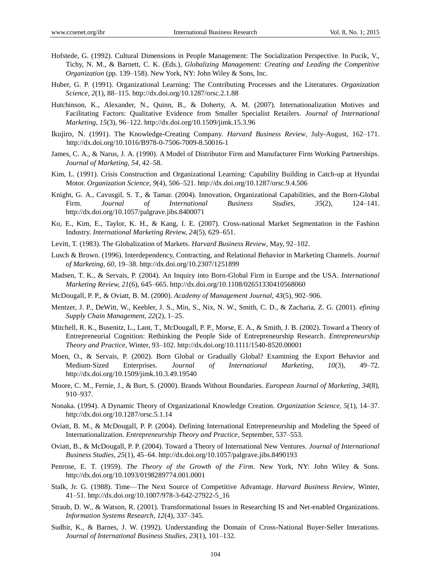- Hofstede, G. (1992). Cultural Dimensions in People Management: The Socialization Perspective. In Pucik, V., Tichy, N. M., & Barnett, C. K. (Eds.), *Globalizing Management: Creating and Leading the Competitive Organization* (pp. 139–158). New York, NY: John Wiley & Sons, Inc.
- Huber, G. P. (1991). Organizational Learning: The Contributing Processes and the Literatures. *Organization Science, 2*(1), 88–115. http://dx.doi.org/10.1287/orsc.2.1.88
- Hutchinson, K., Alexander, N., Quinn, B., & Doherty, A. M. (2007). Internationalization Motives and Facilitating Factors: Qualitative Evidence from Smaller Specialist Retailers. *Journal of International Marketing, 15*(3), 96–122. http://dx.doi.org/10.1509/jimk.15.3.96
- Ikujiro, N. (1991). The Knowledge-Creating Company. *Harvard Business Review*, July-August, 162–171. http://dx.doi.org/10.1016/B978-0-7506-7009-8.50016-1
- James, C. A., & Narus, J. A. (1990). A Model of Distributor Firm and Manufacturer Firm Working Partnerships. *Journal of Marketing, 54*, 42–58.
- Kim, L. (1991). Crisis Construction and Organizational Learning: Capability Building in Catch-up at Hyundai Motor. *Organization Science, 9*(4), 506–521. http://dx.doi.org/10.1287/orsc.9.4.506
- Knight, G. A., Cavusgil, S. T., & Tamar. (2004). Innovation, Organizational Capabilities, and the Born-Global Firm. *Journal of International Business Studies, 35*(2), 124–141. http://dx.doi.org/10.1057/palgrave.jibs.8400071
- Ko, E., Kim, E., Taylor, K. H., & Kang, I. E. (2007). Cross-national Market Segmentation in the Fashion Industry. *International Marketing Review, 24*(5), 629–651.
- Levitt, T. (1983). The Globalization of Markets. *Harvard Business Review*, May, 92–102.
- Lusch & Brown. (1996). Interdependency, Contracting, and Relational Behavior in Marketing Channels. *Journal of Marketing, 60*, 19–38. http://dx.doi.org/10.2307/1251899
- Madsen, T. K., & Servais, P. (2004). An Inquiry into Born-Global Firm in Europe and the USA. *International Marketing Review, 21*(6), 645–665. http://dx.doi.org/10.1108/02651330410568060
- McDougall, P. P., & Oviatt, B. M. (2000). *Academy of Management Journal, 43*(5), 902–906.
- Mentzer, J. P., DeWitt, W., Keebler, J. S., Min, S., Nix, N. W., Smith, C. D., & Zacharia, Z. G. (2001). *efining Supply Chain Management, 22*(2), 1–25.
- Mitchell, R. K., Busenitz, L., Lant, T., McDougall, P. P., Morse, E. A., & Smith, J. B. (2002). Toward a Theory of Entrepreneurial Cognition: Rethinking the People Side of Entrepreneurship Research. *Entrepreneurship Theory and Practice*, Winter, 93–102. http://dx.doi.org/10.1111/1540-8520.00001
- Moen, O., & Servais, P. (2002). Born Global or Gradually Global? Examining the Export Behavior and Medium-Sized Enterprises. *Journal of International Marketing, 10*(3), 49–72. http://dx.doi.org/10.1509/jimk.10.3.49.19540
- Moore, C. M., Fernie, J., & Burt, S. (2000). Brands Without Boundaries. *European Journal of Marketing, 34*(8), 910–937.
- Nonaka. (1994). A Dynamic Theory of Organizational Knowledge Creation. *Organization Science, 5*(1), 14–37. http://dx.doi.org/10.1287/orsc.5.1.14
- Oviatt, B. M., & McDougall, P. P. (2004). Defining International Entrepreneurship and Modeling the Speed of Internationalization. *Entrepreneurship Theory and Practice*, September, 537–553.
- Oviatt, B., & McDougall, P. P. (2004). Toward a Theory of International New Ventures. *Journal of International Business Studies, 25*(1), 45–64. http://dx.doi.org/10.1057/palgrave.jibs.8490193
- Penrose, E. T. (1959). *The Theory of the Growth of the Firm.* New York, NY: John Wiley & Sons. http://dx.doi.org/10.1093/0198289774.001.0001
- Stalk, Jr. G. (1988). Time—The Next Source of Competitive Advantage. *Harvard Business Review*, Winter, 41–51. http://dx.doi.org/10.1007/978-3-642-27922-5\_16
- Straub, D. W., & Watson, R. (2001). Transformational Issues in Researching IS and Net-enabled Organizations. *Information Systems Research, 12*(4), 337–345.
- Sudhir, K., & Barnes, J. W. (1992). Understanding the Domain of Cross-National Buyer-Seller Interations. *Journal of International Business Studies, 23*(1), 101–132.